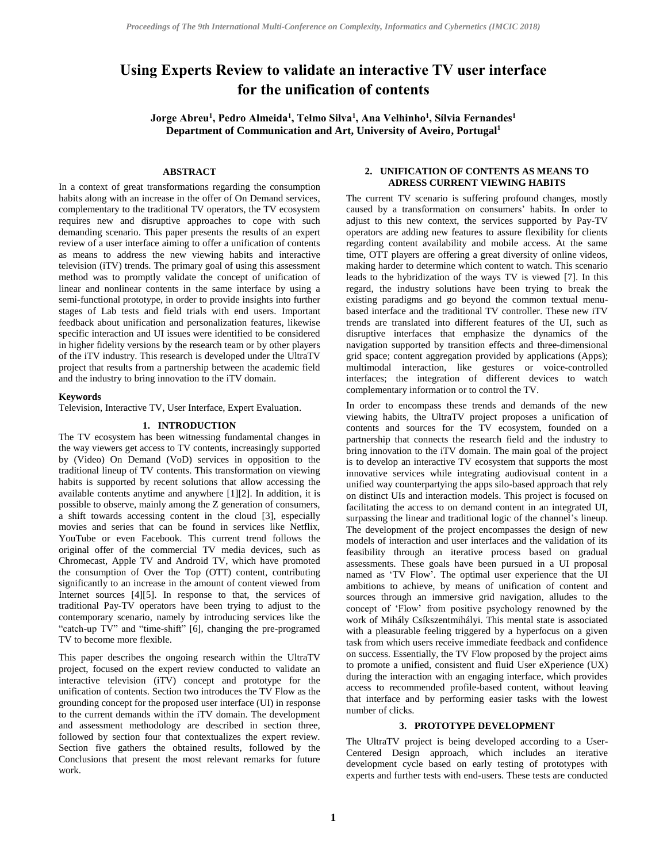# **Using Experts Review to validate an interactive TV user interface for the unification of contents**

**Jorge Abreu<sup>1</sup> , Pedro Almeida<sup>1</sup> , Telmo Silva<sup>1</sup> , Ana Velhinho<sup>1</sup> , Sílvia Fernandes<sup>1</sup> Department of Communication and Art, University of Aveiro, Portugal<sup>1</sup>**

## **ABSTRACT**

In a context of great transformations regarding the consumption habits along with an increase in the offer of On Demand services, complementary to the traditional TV operators, the TV ecosystem requires new and disruptive approaches to cope with such demanding scenario. This paper presents the results of an expert review of a user interface aiming to offer a unification of contents as means to address the new viewing habits and interactive television (iTV) trends. The primary goal of using this assessment method was to promptly validate the concept of unification of linear and nonlinear contents in the same interface by using a semi-functional prototype, in order to provide insights into further stages of Lab tests and field trials with end users. Important feedback about unification and personalization features, likewise specific interaction and UI issues were identified to be considered in higher fidelity versions by the research team or by other players of the iTV industry. This research is developed under the UltraTV project that results from a partnership between the academic field and the industry to bring innovation to the iTV domain.

#### **Keywords**

Television, Interactive TV, User Interface, Expert Evaluation.

## **1. INTRODUCTION**

The TV ecosystem has been witnessing fundamental changes in the way viewers get access to TV contents, increasingly supported by (Video) On Demand (VoD) services in opposition to the traditional lineup of TV contents. This transformation on viewing habits is supported by recent solutions that allow accessing the available contents anytime and anywhere [1][2]. In addition, it is possible to observe, mainly among the Z generation of consumers, a shift towards accessing content in the cloud [\[3\],](#page-3-0) especially movies and series that can be found in services like Netflix, YouTube or even Facebook. This current trend follows the original offer of the commercial TV media devices, such as Chromecast, Apple TV and Android TV, which have promoted the consumption of Over the Top (OTT) content, contributing significantly to an increase in the amount of content viewed from Internet sources [\[4\]\[5\].](#page-3-1) In response to that, the services of traditional Pay-TV operators have been trying to adjust to the contemporary scenario, namely by introducing services like the "catch-up TV" and "time-shift" [\[6\],](#page-3-2) changing the pre-programed TV to become more flexible.

This paper describes the ongoing research within the UltraTV project, focused on the expert review conducted to validate an interactive television (iTV) concept and prototype for the unification of contents. Section two introduces the TV Flow as the grounding concept for the proposed user interface (UI) in response to the current demands within the iTV domain. The development and assessment methodology are described in section three, followed by section four that contextualizes the expert review. Section five gathers the obtained results, followed by the Conclusions that present the most relevant remarks for future work.

### **2. UNIFICATION OF CONTENTS AS MEANS TO ADRESS CURRENT VIEWING HABITS**

The current TV scenario is suffering profound changes, mostly caused by a transformation on consumers' habits. In order to adjust to this new context, the services supported by Pay-TV operators are adding new features to assure flexibility for clients regarding content availability and mobile access. At the same time, OTT players are offering a great diversity of online videos, making harder to determine which content to watch. This scenario leads to the hybridization of the ways TV is viewed [\[7\].](#page-3-3) In this regard, the industry solutions have been trying to break the existing paradigms and go beyond the common textual menubased interface and the traditional TV controller. These new iTV trends are translated into different features of the UI, such as disruptive interfaces that emphasize the dynamics of the navigation supported by transition effects and three-dimensional grid space; content aggregation provided by applications (Apps); multimodal interaction, like gestures or voice-controlled interfaces; the integration of different devices to watch complementary information or to control the TV.

In order to encompass these trends and demands of the new viewing habits, the UltraTV project proposes a unification of contents and sources for the TV ecosystem, founded on a partnership that connects the research field and the industry to bring innovation to the iTV domain. The main goal of the project is to develop an interactive TV ecosystem that supports the most innovative services while integrating audiovisual content in a unified way counterpartying the apps silo-based approach that rely on distinct UIs and interaction models. This project is focused on facilitating the access to on demand content in an integrated UI, surpassing the linear and traditional logic of the channel's lineup. The development of the project encompasses the design of new models of interaction and user interfaces and the validation of its feasibility through an iterative process based on gradual assessments. These goals have been pursued in a UI proposal named as 'TV Flow'. The optimal user experience that the UI ambitions to achieve, by means of unification of content and sources through an immersive grid navigation, alludes to the concept of 'Flow' from positive psychology renowned by the work of Mihály Csíkszentmihályi. This mental state is associated with a pleasurable feeling triggered by a hyperfocus on a given task from which users receive immediate feedback and confidence on success. Essentially, the TV Flow proposed by the project aims to promote a unified, consistent and fluid User eXperience (UX) during the interaction with an engaging interface, which provides access to recommended profile-based content, without leaving that interface and by performing easier tasks with the lowest number of clicks.

### **3. PROTOTYPE DEVELOPMENT**

The UltraTV project is being developed according to a User-Centered Design approach, which includes an iterative development cycle based on early testing of prototypes with experts and further tests with end-users. These tests are conducted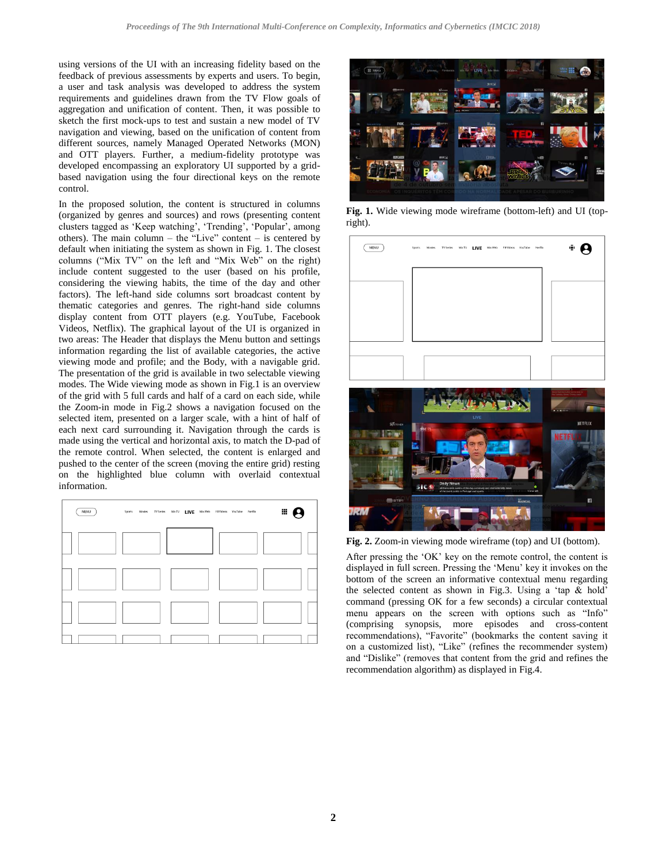using versions of the UI with an increasing fidelity based on the feedback of previous assessments by experts and users. To begin, a user and task analysis was developed to address the system requirements and guidelines drawn from the TV Flow goals of aggregation and unification of content. Then, it was possible to sketch the first mock-ups to test and sustain a new model of TV navigation and viewing, based on the unification of content from different sources, namely Managed Operated Networks (MON) and OTT players. Further, a medium-fidelity prototype was developed encompassing an exploratory UI supported by a gridbased navigation using the four directional keys on the remote control.

In the proposed solution, the content is structured in columns (organized by genres and sources) and rows (presenting content clusters tagged as 'Keep watching', 'Trending', 'Popular', among others). The main column – the "Live" content – is centered by default when initiating the system as shown in Fig. 1. The closest columns ("Mix TV" on the left and "Mix Web" on the right) include content suggested to the user (based on his profile, considering the viewing habits, the time of the day and other factors). The left-hand side columns sort broadcast content by thematic categories and genres. The right-hand side columns display content from OTT players (e.g. YouTube, Facebook Videos, Netflix). The graphical layout of the UI is organized in two areas: The Header that displays the Menu button and settings information regarding the list of available categories, the active viewing mode and profile; and the Body, with a navigable grid. The presentation of the grid is available in two selectable viewing modes. The Wide viewing mode as shown in Fig.1 is an overview of the grid with 5 full cards and half of a card on each side, while the Zoom-in mode in Fig.2 shows a navigation focused on the selected item, presented on a larger scale, with a hint of half of each next card surrounding it. Navigation through the cards is made using the vertical and horizontal axis, to match the D-pad of the remote control. When selected, the content is enlarged and pushed to the center of the screen (moving the entire grid) resting on the highlighted blue column with overlaid contextual information.





**Fig. 1.** Wide viewing mode wireframe (bottom-left) and UI (topright).



**Fig. 2.** Zoom-in viewing mode wireframe (top) and UI (bottom).

After pressing the 'OK' key on the remote control, the content is displayed in full screen. Pressing the 'Menu' key it invokes on the bottom of the screen an informative contextual menu regarding the selected content as shown in Fig.3. Using a 'tap & hold' command (pressing OK for a few seconds) a circular contextual menu appears on the screen with options such as "Info" (comprising synopsis, more episodes and cross-content recommendations), "Favorite" (bookmarks the content saving it on a customized list), "Like" (refines the recommender system) and "Dislike" (removes that content from the grid and refines the recommendation algorithm) as displayed in Fig.4.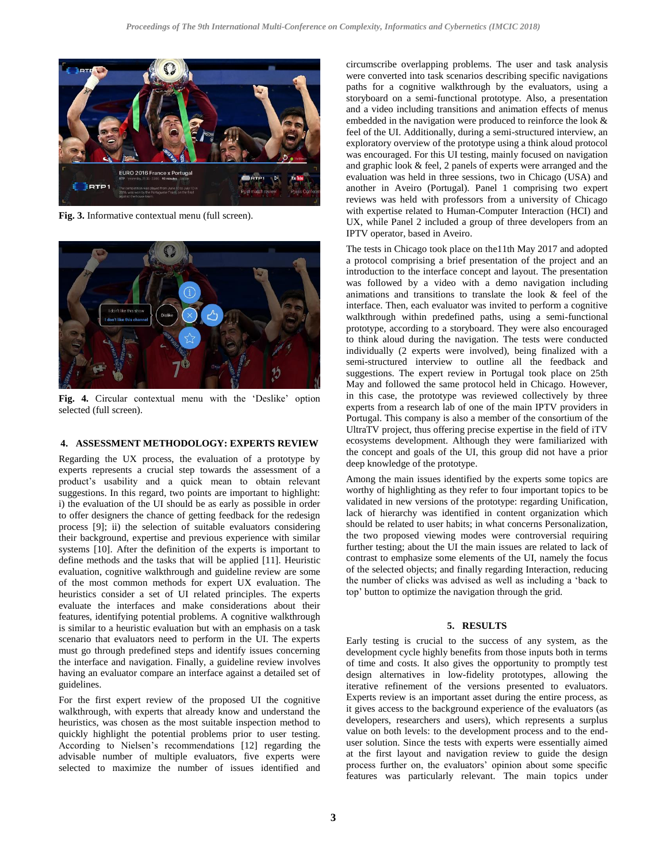

**Fig. 3.** Informative contextual menu (full screen).



**Fig. 4.** Circular contextual menu with the 'Deslike' option selected (full screen).

#### **4. ASSESSMENT METHODOLOGY: EXPERTS REVIEW**

Regarding the UX process, the evaluation of a prototype by experts represents a crucial step towards the assessment of a product's usability and a quick mean to obtain relevant suggestions. In this regard, two points are important to highlight: i) the evaluation of the UI should be as early as possible in order to offer designers the chance of getting feedback for the redesign process [\[9\];](#page-4-0) ii) the selection of suitable evaluators considering their background, expertise and previous experience with similar systems [\[10\].](#page-4-1) After the definition of the experts is important to define methods and the tasks that will be applied [\[11\].](#page-4-2) Heuristic evaluation, cognitive walkthrough and guideline review are some of the most common methods for expert UX evaluation. The heuristics consider a set of UI related principles. The experts evaluate the interfaces and make considerations about their features, identifying potential problems. A cognitive walkthrough is similar to a heuristic evaluation but with an emphasis on a task scenario that evaluators need to perform in the UI. The experts must go through predefined steps and identify issues concerning the interface and navigation. Finally, a guideline review involves having an evaluator compare an interface against a detailed set of guidelines.

For the first expert review of the proposed UI the cognitive walkthrough, with experts that already know and understand the heuristics, was chosen as the most suitable inspection method to quickly highlight the potential problems prior to user testing. According to Nielsen's recommendations [\[12\]](#page-4-3) regarding the advisable number of multiple evaluators, five experts were selected to maximize the number of issues identified and

circumscribe overlapping problems. The user and task analysis were converted into task scenarios describing specific navigations paths for a cognitive walkthrough by the evaluators, using a storyboard on a semi-functional prototype. Also, a presentation and a video including transitions and animation effects of menus embedded in the navigation were produced to reinforce the look & feel of the UI. Additionally, during a semi-structured interview, an exploratory overview of the prototype using a think aloud protocol was encouraged. For this UI testing, mainly focused on navigation and graphic look & feel, 2 panels of experts were arranged and the evaluation was held in three sessions, two in Chicago (USA) and another in Aveiro (Portugal). Panel 1 comprising two expert reviews was held with professors from a university of Chicago with expertise related to Human-Computer Interaction (HCI) and UX, while Panel 2 included a group of three developers from an IPTV operator, based in Aveiro.

The tests in Chicago took place on the11th May 2017 and adopted a protocol comprising a brief presentation of the project and an introduction to the interface concept and layout. The presentation was followed by a video with a demo navigation including animations and transitions to translate the look & feel of the interface. Then, each evaluator was invited to perform a cognitive walkthrough within predefined paths, using a semi-functional prototype, according to a storyboard. They were also encouraged to think aloud during the navigation. The tests were conducted individually (2 experts were involved), being finalized with a semi-structured interview to outline all the feedback and suggestions. The expert review in Portugal took place on 25th May and followed the same protocol held in Chicago. However, in this case, the prototype was reviewed collectively by three experts from a research lab of one of the main IPTV providers in Portugal. This company is also a member of the consortium of the UltraTV project, thus offering precise expertise in the field of iTV ecosystems development. Although they were familiarized with the concept and goals of the UI, this group did not have a prior deep knowledge of the prototype.

Among the main issues identified by the experts some topics are worthy of highlighting as they refer to four important topics to be validated in new versions of the prototype: regarding Unification, lack of hierarchy was identified in content organization which should be related to user habits; in what concerns Personalization, the two proposed viewing modes were controversial requiring further testing; about the UI the main issues are related to lack of contrast to emphasize some elements of the UI, namely the focus of the selected objects; and finally regarding Interaction, reducing the number of clicks was advised as well as including a 'back to top' button to optimize the navigation through the grid.

#### **5. RESULTS**

Early testing is crucial to the success of any system, as the development cycle highly benefits from those inputs both in terms of time and costs. It also gives the opportunity to promptly test design alternatives in low-fidelity prototypes, allowing the iterative refinement of the versions presented to evaluators. Experts review is an important asset during the entire process, as it gives access to the background experience of the evaluators (as developers, researchers and users), which represents a surplus value on both levels: to the development process and to the enduser solution. Since the tests with experts were essentially aimed at the first layout and navigation review to guide the design process further on, the evaluators' opinion about some specific features was particularly relevant. The main topics under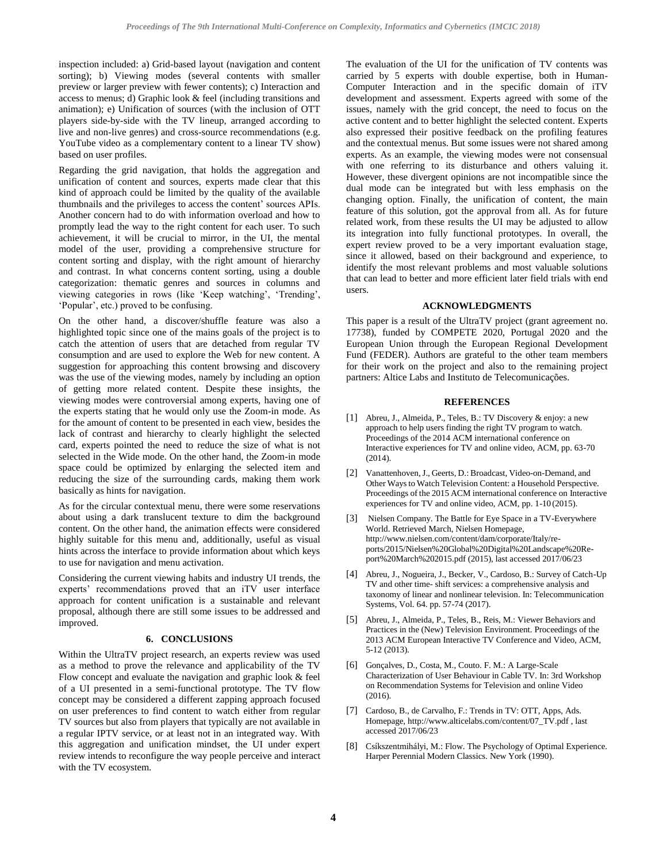inspection included: a) Grid-based layout (navigation and content sorting); b) Viewing modes (several contents with smaller preview or larger preview with fewer contents); c) Interaction and access to menus; d) Graphic look & feel (including transitions and animation); e) Unification of sources (with the inclusion of OTT players side-by-side with the TV lineup, arranged according to live and non-live genres) and cross-source recommendations (e.g. YouTube video as a complementary content to a linear TV show) based on user profiles.

Regarding the grid navigation, that holds the aggregation and unification of content and sources, experts made clear that this kind of approach could be limited by the quality of the available thumbnails and the privileges to access the content' sources APIs. Another concern had to do with information overload and how to promptly lead the way to the right content for each user. To such achievement, it will be crucial to mirror, in the UI, the mental model of the user, providing a comprehensive structure for content sorting and display, with the right amount of hierarchy and contrast. In what concerns content sorting, using a double categorization: thematic genres and sources in columns and viewing categories in rows (like 'Keep watching', 'Trending', 'Popular', etc.) proved to be confusing.

On the other hand, a discover/shuffle feature was also a highlighted topic since one of the mains goals of the project is to catch the attention of users that are detached from regular TV consumption and are used to explore the Web for new content. A suggestion for approaching this content browsing and discovery was the use of the viewing modes, namely by including an option of getting more related content. Despite these insights, the viewing modes were controversial among experts, having one of the experts stating that he would only use the Zoom-in mode. As for the amount of content to be presented in each view, besides the lack of contrast and hierarchy to clearly highlight the selected card, experts pointed the need to reduce the size of what is not selected in the Wide mode. On the other hand, the Zoom-in mode space could be optimized by enlarging the selected item and reducing the size of the surrounding cards, making them work basically as hints for navigation.

As for the circular contextual menu, there were some reservations about using a dark translucent texture to dim the background content. On the other hand, the animation effects were considered highly suitable for this menu and, additionally, useful as visual hints across the interface to provide information about which keys to use for navigation and menu activation.

Considering the current viewing habits and industry UI trends, the experts' recommendations proved that an iTV user interface approach for content unification is a sustainable and relevant proposal, although there are still some issues to be addressed and improved.

#### **6. CONCLUSIONS**

Within the UltraTV project research, an experts review was used as a method to prove the relevance and applicability of the TV Flow concept and evaluate the navigation and graphic look & feel of a UI presented in a semi-functional prototype. The TV flow concept may be considered a different zapping approach focused on user preferences to find content to watch either from regular TV sources but also from players that typically are not available in a regular IPTV service, or at least not in an integrated way. With this aggregation and unification mindset, the UI under expert review intends to reconfigure the way people perceive and interact with the TV ecosystem.

The evaluation of the UI for the unification of TV contents was carried by 5 experts with double expertise, both in Human-Computer Interaction and in the specific domain of iTV development and assessment. Experts agreed with some of the issues, namely with the grid concept, the need to focus on the active content and to better highlight the selected content. Experts also expressed their positive feedback on the profiling features and the contextual menus. But some issues were not shared among experts. As an example, the viewing modes were not consensual with one referring to its disturbance and others valuing it. However, these divergent opinions are not incompatible since the dual mode can be integrated but with less emphasis on the changing option. Finally, the unification of content, the main feature of this solution, got the approval from all. As for future related work, from these results the UI may be adjusted to allow its integration into fully functional prototypes. In overall, the expert review proved to be a very important evaluation stage, since it allowed, based on their background and experience, to identify the most relevant problems and most valuable solutions that can lead to better and more efficient later field trials with end users.

#### **ACKNOWLEDGMENTS**

This paper is a result of the UltraTV project (grant agreement no. 17738), funded by COMPETE 2020, Portugal 2020 and the European Union through the European Regional Development Fund (FEDER). Authors are grateful to the other team members for their work on the project and also to the remaining project partners: Altice Labs and Instituto de Telecomunicações.

#### **REFERENCES**

- [1] Abreu, J., Almeida, P., Teles, B.: TV Discovery & enjoy: a new approach to help users finding the right TV program to watch. Proceedings of the 2014 ACM international conference on Interactive experiences for TV and online video, ACM, pp. 63-70 (2014).
- [2] Vanattenhoven,J., Geerts, D.: Broadcast, Video-on-Demand, and Other Waysto Watch Television Content: a Household Perspective. Proceedings of the 2015 ACM international conference on Interactive experiences for TV and online video, ACM, pp. 1-10 (2015).
- <span id="page-3-0"></span>[3] Nielsen Company. The Battle for Eye Space in a TV-Everywhere World. Retrieved March, Nielsen Homepage, http://www.nielsen.com/content/dam/corporate/Italy/reports/2015/Nielsen%20Global%20Digital%20Landscape%20Report%20March%202015.pdf (2015), last accessed 2017/06/23
- <span id="page-3-1"></span>[4] Abreu, J., Nogueira, J., Becker, V., Cardoso, B.: Survey of Catch-Up TV and other time- shift services: a comprehensive analysis and taxonomy of linear and nonlinear television. In: Telecommunication Systems, Vol. 64. pp. 57-74 (2017).
- [5] Abreu, J., Almeida, P., Teles, B., Reis, M.: Viewer Behaviors and Practices in the (New) Television Environment. Proceedings of the 2013 ACM European Interactive TV Conference and Video, ACM, 5-12 (2013).
- <span id="page-3-2"></span>[6] Gonçalves, D., Costa, M., Couto. F. M.: A Large-Scale Characterization of User Behaviour in Cable TV. In: 3rd Workshop on Recommendation Systems for Television and online Video (2016).
- <span id="page-3-3"></span>[7] Cardoso, B., de Carvalho, F.: Trends in TV: OTT, Apps, Ads. Homepage, http://www.alticelabs.com/content/07\_TV.pdf , last accessed 2017/06/23
- [8] Csíkszentmihályi, M.: Flow. The Psychology of Optimal Experience. Harper Perennial Modern Classics. New York (1990).